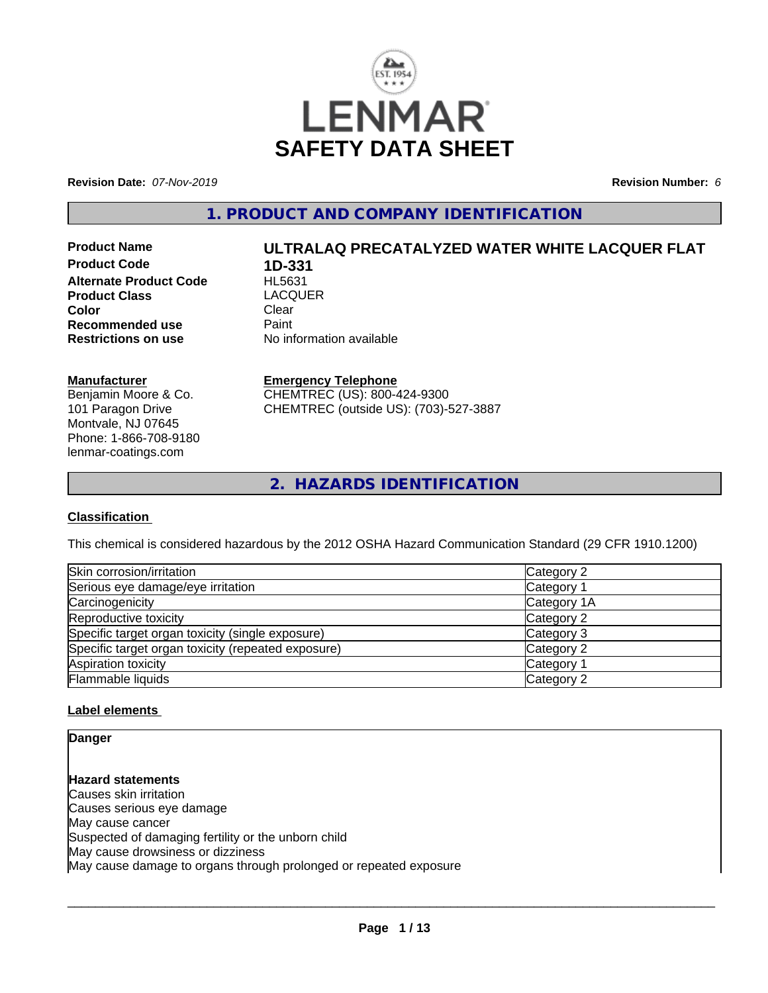

**Revision Date:** *07-Nov-2019* **Revision Number:** *6*

**1. PRODUCT AND COMPANY IDENTIFICATION**

**Product Code 1D-331 Alternate Product Code HL5631**<br>Product Class LACOUER **Product Class Exercise LACQUER**<br> **Color** Clear **Color** Clear Clear **Recommended use Faint Paint Paint Restrictions on use Fig. 2016** 

# **Product Name ULTRALAQ PRECATALYZED WATER WHITE LACQUER FLAT**

**No information available** 

#### **Manufacturer**

Benjamin Moore & Co. 101 Paragon Drive Montvale, NJ 07645 Phone: 1-866-708-9180 lenmar-coatings.com

#### **Emergency Telephone**

CHEMTREC (US): 800-424-9300 CHEMTREC (outside US): (703)-527-3887

**2. HAZARDS IDENTIFICATION**

#### **Classification**

This chemical is considered hazardous by the 2012 OSHA Hazard Communication Standard (29 CFR 1910.1200)

| Skin corrosion/irritation                          | Category 2  |
|----------------------------------------------------|-------------|
| Serious eye damage/eye irritation                  | Category 1  |
| Carcinogenicity                                    | Category 1A |
| Reproductive toxicity                              | Category 2  |
| Specific target organ toxicity (single exposure)   | Category 3  |
| Specific target organ toxicity (repeated exposure) | Category 2  |
| Aspiration toxicity                                | Category 1  |
| Flammable liquids                                  | Category 2  |

#### **Label elements**

**Danger**

**Hazard statements** Causes skin irritation Causes serious eye damage May cause cancer Suspected of damaging fertility or the unborn child May cause drowsiness or dizziness May cause damage to organs through prolonged or repeated exposure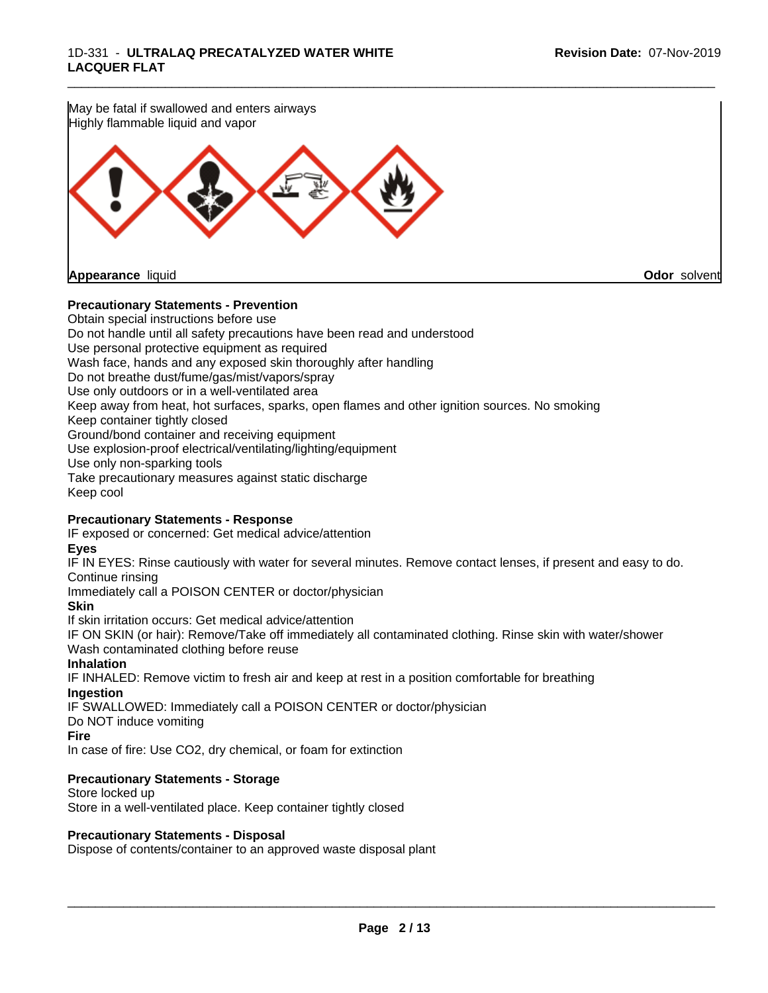

#### **Precautionary Statements - Prevention**

Obtain special instructions before use Do not handle until all safety precautions have been read and understood Use personal protective equipment as required Wash face, hands and any exposed skin thoroughly after handling Do not breathe dust/fume/gas/mist/vapors/spray Use only outdoors or in a well-ventilated area Keep away from heat, hot surfaces, sparks, open flames and other ignition sources. No smoking Keep container tightly closed Ground/bond container and receiving equipment Use explosion-proof electrical/ventilating/lighting/equipment Use only non-sparking tools Take precautionary measures against static discharge Keep cool

#### **Precautionary Statements - Response**

IF exposed or concerned: Get medical advice/attention

#### **Eyes**

IF IN EYES: Rinse cautiously with water for several minutes. Remove contact lenses, if present and easy to do. Continue rinsing

Immediately call a POISON CENTER or doctor/physician

#### **Skin**

If skin irritation occurs: Get medical advice/attention

IF ON SKIN (or hair): Remove/Take off immediately all contaminated clothing. Rinse skin with water/shower Wash contaminated clothing before reuse

#### **Inhalation**

IF INHALED: Remove victim to fresh air and keep at rest in a position comfortable for breathing **Ingestion**

IF SWALLOWED: Immediately call a POISON CENTER or doctor/physician

Do NOT induce vomiting

#### **Fire**

In case of fire: Use CO2, dry chemical, or foam for extinction

#### **Precautionary Statements - Storage**

Store locked up Store in a well-ventilated place. Keep container tightly closed

#### **Precautionary Statements - Disposal**

Dispose of contents/container to an approved waste disposal plant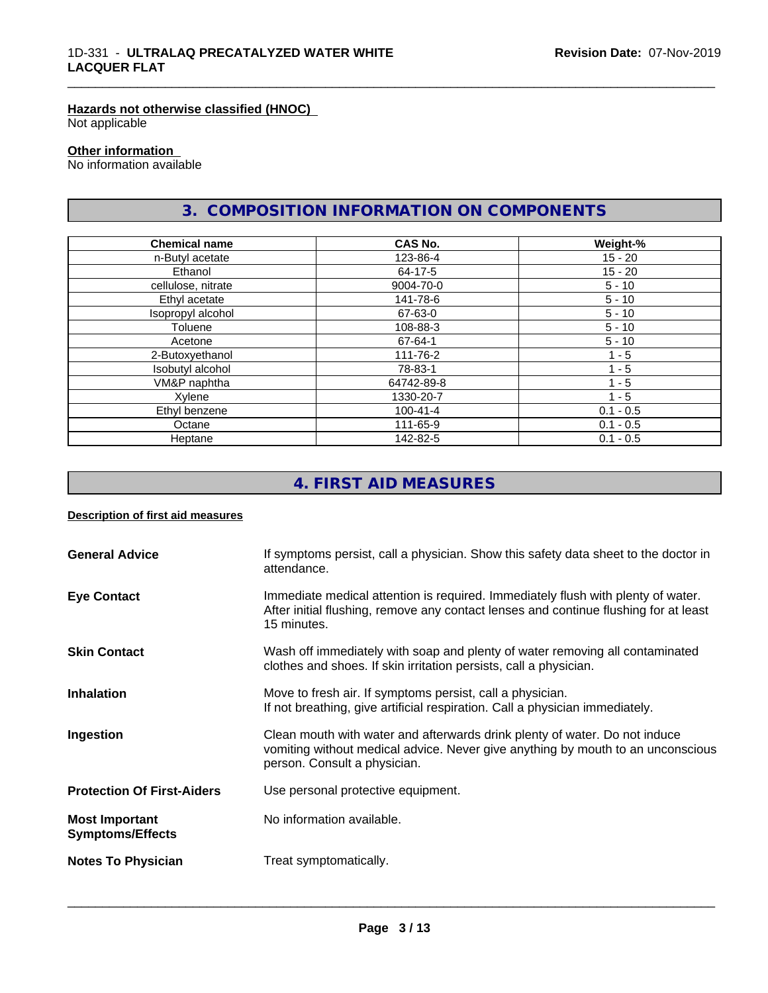### **Hazards not otherwise classified (HNOC)**

Not applicable

#### **Other information**

No information available

### **3. COMPOSITION INFORMATION ON COMPONENTS**

\_\_\_\_\_\_\_\_\_\_\_\_\_\_\_\_\_\_\_\_\_\_\_\_\_\_\_\_\_\_\_\_\_\_\_\_\_\_\_\_\_\_\_\_\_\_\_\_\_\_\_\_\_\_\_\_\_\_\_\_\_\_\_\_\_\_\_\_\_\_\_\_\_\_\_\_\_\_\_\_\_\_\_\_\_\_\_\_\_\_\_\_\_

| <b>Chemical name</b> | <b>CAS No.</b> | Weight-%    |
|----------------------|----------------|-------------|
| n-Butyl acetate      | 123-86-4       | $15 - 20$   |
| Ethanol              | 64-17-5        | $15 - 20$   |
| cellulose, nitrate   | 9004-70-0      | $5 - 10$    |
| Ethyl acetate        | 141-78-6       | $5 - 10$    |
| Isopropyl alcohol    | 67-63-0        | $5 - 10$    |
| Toluene              | 108-88-3       | $5 - 10$    |
| Acetone              | 67-64-1        | $5 - 10$    |
| 2-Butoxyethanol      | 111-76-2       | $1 - 5$     |
| Isobutyl alcohol     | 78-83-1        | $1 - 5$     |
| VM&P naphtha         | 64742-89-8     | 1 - 5       |
| Xylene               | 1330-20-7      | $1 - 5$     |
| Ethyl benzene        | 100-41-4       | $0.1 - 0.5$ |
| Octane               | 111-65-9       | $0.1 - 0.5$ |
| Heptane              | 142-82-5       | $0.1 - 0.5$ |

### **4. FIRST AID MEASURES**

#### **Description of first aid measures**

| <b>General Advice</b>                            | If symptoms persist, call a physician. Show this safety data sheet to the doctor in<br>attendance.                                                                                            |
|--------------------------------------------------|-----------------------------------------------------------------------------------------------------------------------------------------------------------------------------------------------|
| <b>Eye Contact</b>                               | Immediate medical attention is required. Immediately flush with plenty of water.<br>After initial flushing, remove any contact lenses and continue flushing for at least<br>15 minutes.       |
| <b>Skin Contact</b>                              | Wash off immediately with soap and plenty of water removing all contaminated<br>clothes and shoes. If skin irritation persists, call a physician.                                             |
| <b>Inhalation</b>                                | Move to fresh air. If symptoms persist, call a physician.<br>If not breathing, give artificial respiration. Call a physician immediately.                                                     |
| Ingestion                                        | Clean mouth with water and afterwards drink plenty of water. Do not induce<br>vomiting without medical advice. Never give anything by mouth to an unconscious<br>person. Consult a physician. |
| <b>Protection Of First-Aiders</b>                | Use personal protective equipment.                                                                                                                                                            |
| <b>Most Important</b><br><b>Symptoms/Effects</b> | No information available.                                                                                                                                                                     |
| <b>Notes To Physician</b>                        | Treat symptomatically.                                                                                                                                                                        |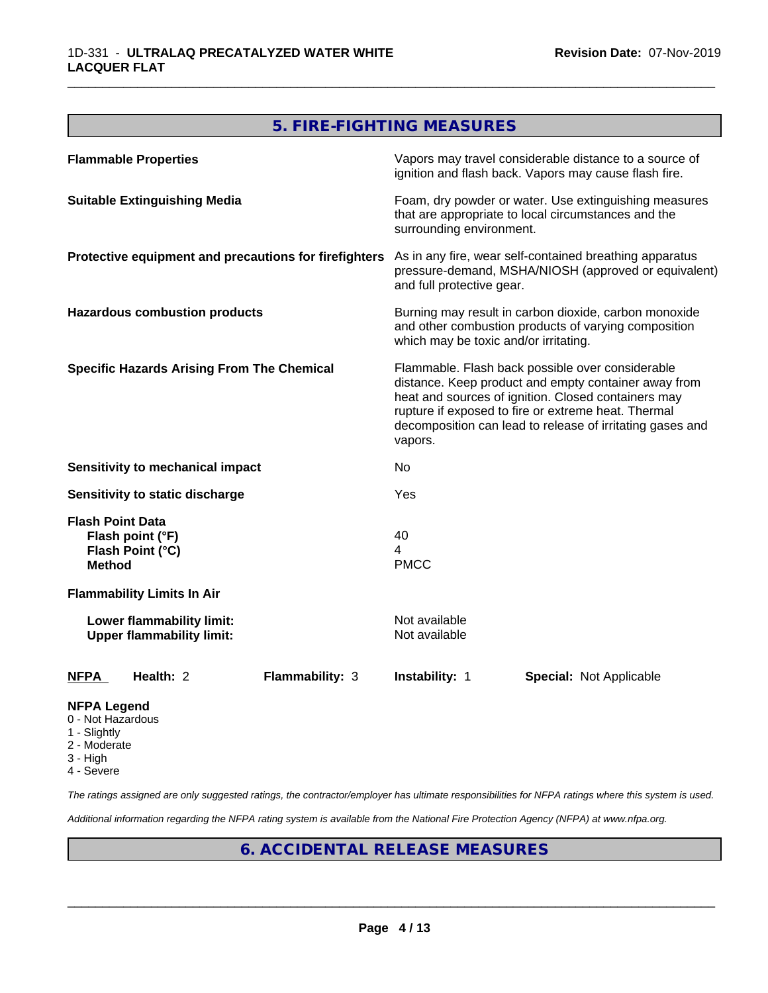### **5. FIRE-FIGHTING MEASURES**

| <b>Flammable Properties</b>                                                      | Vapors may travel considerable distance to a source of<br>ignition and flash back. Vapors may cause flash fire.                                                                                                                                                                                |  |
|----------------------------------------------------------------------------------|------------------------------------------------------------------------------------------------------------------------------------------------------------------------------------------------------------------------------------------------------------------------------------------------|--|
| <b>Suitable Extinguishing Media</b>                                              | Foam, dry powder or water. Use extinguishing measures<br>that are appropriate to local circumstances and the<br>surrounding environment.                                                                                                                                                       |  |
| Protective equipment and precautions for firefighters                            | As in any fire, wear self-contained breathing apparatus<br>pressure-demand, MSHA/NIOSH (approved or equivalent)<br>and full protective gear.                                                                                                                                                   |  |
| <b>Hazardous combustion products</b>                                             | Burning may result in carbon dioxide, carbon monoxide<br>and other combustion products of varying composition<br>which may be toxic and/or irritating.                                                                                                                                         |  |
| <b>Specific Hazards Arising From The Chemical</b>                                | Flammable. Flash back possible over considerable<br>distance. Keep product and empty container away from<br>heat and sources of ignition. Closed containers may<br>rupture if exposed to fire or extreme heat. Thermal<br>decomposition can lead to release of irritating gases and<br>vapors. |  |
| <b>Sensitivity to mechanical impact</b>                                          | No                                                                                                                                                                                                                                                                                             |  |
| Sensitivity to static discharge                                                  | Yes                                                                                                                                                                                                                                                                                            |  |
| <b>Flash Point Data</b><br>Flash point (°F)<br>Flash Point (°C)<br><b>Method</b> | 40<br>4<br><b>PMCC</b>                                                                                                                                                                                                                                                                         |  |
| <b>Flammability Limits In Air</b>                                                |                                                                                                                                                                                                                                                                                                |  |
| Lower flammability limit:<br><b>Upper flammability limit:</b>                    | Not available<br>Not available                                                                                                                                                                                                                                                                 |  |
| Health: 2<br><b>NFPA</b><br><b>Flammability: 3</b>                               | Instability: 1<br><b>Special: Not Applicable</b>                                                                                                                                                                                                                                               |  |
| <b>NFPA Legend</b>                                                               |                                                                                                                                                                                                                                                                                                |  |

- 0 Not Hazardous
- 1 Slightly
- 2 Moderate
- 3 High
- 4 Severe

*The ratings assigned are only suggested ratings, the contractor/employer has ultimate responsibilities for NFPA ratings where this system is used.*

*Additional information regarding the NFPA rating system is available from the National Fire Protection Agency (NFPA) at www.nfpa.org.*

### **6. ACCIDENTAL RELEASE MEASURES**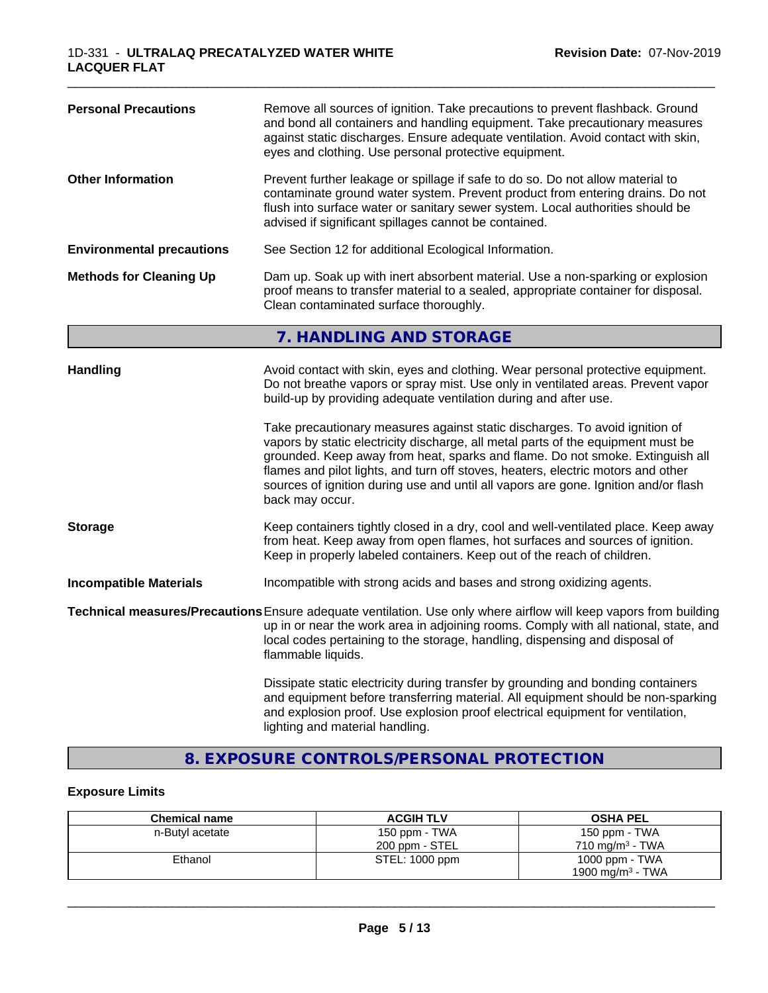| <b>Personal Precautions</b>                                                                                                                                                                                                                     | Remove all sources of ignition. Take precautions to prevent flashback. Ground<br>and bond all containers and handling equipment. Take precautionary measures<br>against static discharges. Ensure adequate ventilation. Avoid contact with skin,<br>eyes and clothing. Use personal protective equipment.                                                                                                                                                                                                                                                                                                                                                              |
|-------------------------------------------------------------------------------------------------------------------------------------------------------------------------------------------------------------------------------------------------|------------------------------------------------------------------------------------------------------------------------------------------------------------------------------------------------------------------------------------------------------------------------------------------------------------------------------------------------------------------------------------------------------------------------------------------------------------------------------------------------------------------------------------------------------------------------------------------------------------------------------------------------------------------------|
| <b>Other Information</b>                                                                                                                                                                                                                        | Prevent further leakage or spillage if safe to do so. Do not allow material to<br>contaminate ground water system. Prevent product from entering drains. Do not<br>flush into surface water or sanitary sewer system. Local authorities should be<br>advised if significant spillages cannot be contained.                                                                                                                                                                                                                                                                                                                                                             |
| <b>Environmental precautions</b>                                                                                                                                                                                                                | See Section 12 for additional Ecological Information.                                                                                                                                                                                                                                                                                                                                                                                                                                                                                                                                                                                                                  |
| Dam up. Soak up with inert absorbent material. Use a non-sparking or explosion<br><b>Methods for Cleaning Up</b><br>proof means to transfer material to a sealed, appropriate container for disposal.<br>Clean contaminated surface thoroughly. |                                                                                                                                                                                                                                                                                                                                                                                                                                                                                                                                                                                                                                                                        |
|                                                                                                                                                                                                                                                 | 7. HANDLING AND STORAGE                                                                                                                                                                                                                                                                                                                                                                                                                                                                                                                                                                                                                                                |
| <b>Handling</b>                                                                                                                                                                                                                                 | Avoid contact with skin, eyes and clothing. Wear personal protective equipment.<br>Do not breathe vapors or spray mist. Use only in ventilated areas. Prevent vapor<br>build-up by providing adequate ventilation during and after use.<br>Take precautionary measures against static discharges. To avoid ignition of<br>vapors by static electricity discharge, all metal parts of the equipment must be<br>grounded. Keep away from heat, sparks and flame. Do not smoke. Extinguish all<br>flames and pilot lights, and turn off stoves, heaters, electric motors and other<br>sources of ignition during use and until all vapors are gone. Ignition and/or flash |
| <b>Storage</b>                                                                                                                                                                                                                                  | back may occur.<br>Keep containers tightly closed in a dry, cool and well-ventilated place. Keep away<br>from heat. Keep away from open flames, hot surfaces and sources of ignition.<br>Keep in properly labeled containers. Keep out of the reach of children.                                                                                                                                                                                                                                                                                                                                                                                                       |
| <b>Incompatible Materials</b>                                                                                                                                                                                                                   | Incompatible with strong acids and bases and strong oxidizing agents.                                                                                                                                                                                                                                                                                                                                                                                                                                                                                                                                                                                                  |
|                                                                                                                                                                                                                                                 | Technical measures/Precautions Ensure adequate ventilation. Use only where airflow will keep vapors from building<br>up in or near the work area in adjoining rooms. Comply with all national, state, and<br>local codes pertaining to the storage, handling, dispensing and disposal of<br>flammable liquids.                                                                                                                                                                                                                                                                                                                                                         |
|                                                                                                                                                                                                                                                 | Dissipate static electricity during transfer by grounding and bonding containers<br>and equipment before transferring material. All equipment should be non-sparking<br>and explosion proof. Use explosion proof electrical equipment for ventilation,<br>lighting and material handling.                                                                                                                                                                                                                                                                                                                                                                              |

### **8. EXPOSURE CONTROLS/PERSONAL PROTECTION**

### **Exposure Limits**

| <b>Chemical name</b> | <b>ACGIH TLV</b> | <b>OSHA PEL</b>              |
|----------------------|------------------|------------------------------|
| n-Butyl acetate      | 150 ppm - TWA    | 150 ppm - TWA                |
|                      | 200 ppm - STEL   | 710 mg/m <sup>3</sup> - TWA  |
| Ethanol              | STEL: 1000 ppm   | 1000 ppm - $TWA$             |
|                      |                  | 1900 mg/m <sup>3</sup> - TWA |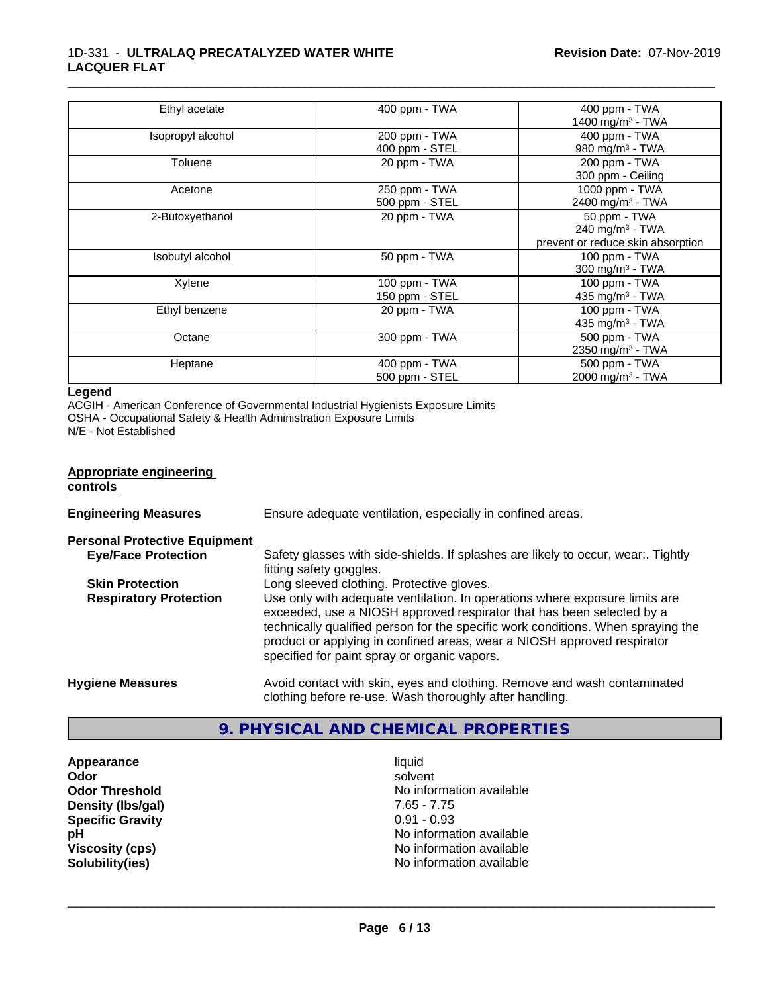| Ethyl acetate     | 400 ppm - TWA  | 400 ppm - TWA                     |
|-------------------|----------------|-----------------------------------|
|                   |                | 1400 mg/m <sup>3</sup> - TWA      |
| Isopropyl alcohol | 200 ppm - TWA  | 400 ppm - TWA                     |
|                   | 400 ppm - STEL | 980 mg/m <sup>3</sup> - TWA       |
| Toluene           | 20 ppm - TWA   | 200 ppm - TWA                     |
|                   |                | 300 ppm - Ceiling                 |
| Acetone           | 250 ppm - TWA  | 1000 ppm - TWA                    |
|                   | 500 ppm - STEL | 2400 mg/m <sup>3</sup> - TWA      |
| 2-Butoxyethanol   | 20 ppm - TWA   | 50 ppm - TWA                      |
|                   |                | 240 mg/m <sup>3</sup> - TWA       |
|                   |                | prevent or reduce skin absorption |
| Isobutyl alcohol  | 50 ppm - TWA   | 100 ppm - TWA                     |
|                   |                | 300 mg/m <sup>3</sup> - TWA       |
| Xylene            | 100 ppm - TWA  | 100 ppm - TWA                     |
|                   | 150 ppm - STEL | 435 mg/m <sup>3</sup> - TWA       |
| Ethyl benzene     | 20 ppm - TWA   | 100 ppm - TWA                     |
|                   |                | 435 mg/m <sup>3</sup> - TWA       |
| Octane            | 300 ppm - TWA  | 500 ppm - TWA                     |
|                   |                | 2350 mg/m <sup>3</sup> - TWA      |
| Heptane           | 400 ppm - TWA  | 500 ppm - TWA                     |
|                   | 500 ppm - STEL | 2000 mg/m <sup>3</sup> - TWA      |

#### **Legend**

ACGIH - American Conference of Governmental Industrial Hygienists Exposure Limits OSHA - Occupational Safety & Health Administration Exposure Limits

N/E - Not Established

#### **Appropriate engineering controls**

| <b>Engineering Measures</b> | Ensure adequate ventilation, especially in confined areas. |
|-----------------------------|------------------------------------------------------------|
|                             |                                                            |

**Personal Protective Equipment**

| <b>Eye/Face Protection</b>    | Safety glasses with side-shields. If splashes are likely to occur, wear Tightly  |
|-------------------------------|----------------------------------------------------------------------------------|
|                               | fitting safety goggles.                                                          |
| <b>Skin Protection</b>        | Long sleeved clothing. Protective gloves.                                        |
| <b>Respiratory Protection</b> | Use only with adequate ventilation. In operations where exposure limits are      |
|                               | exceeded, use a NIOSH approved respirator that has been selected by a            |
|                               | technically qualified person for the specific work conditions. When spraying the |
|                               | product or applying in confined areas, wear a NIOSH approved respirator          |
|                               | specified for paint spray or organic vapors.                                     |
|                               |                                                                                  |
| <b>Hygiene Measures</b>       | Avoid contact with skin, eyes and clothing. Remove and wash contaminated         |

## **9. PHYSICAL AND CHEMICAL PROPERTIES**

clothing before re-use. Wash thoroughly after handling.

**Appearance** liquid **Density (lbs/gal)** 7.65 - 7.75 **Specific Gravity** 0.91 - 0.93

**Odor** solvent **Odor Threshold** No information available **pH**<br>
Viscosity (cps) The Contract of the Contract of the Viscosity (cps) and Viscosity (cps) **Viscosity (cps)**<br> **Viscosity (cps)**<br> **Solubility(ies)**<br> **Solubility(ies) No information available**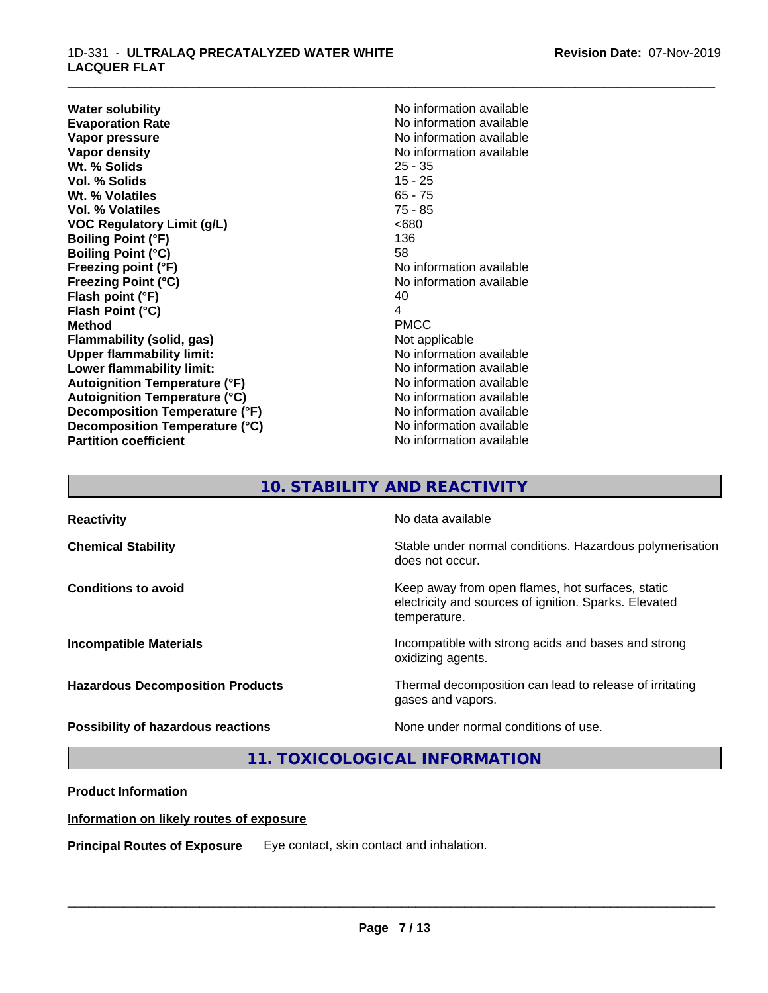**Water solubility**<br> **Evaporation Rate**<br> **Evaporation Rate**<br> **Evaporation Rate Evaporation Rate Evaporation Rate** No information available<br> **Vapor pressure** No information available **Vapor density**<br> **We Solids**<br>
We Solids
25 - 35 **Wt. % Solids** 25 - 35 **Vol. % Solids Wt. % Volatiles** 65 - 75 **Vol. % Volatiles** 75 - 85 **VOC Regulatory Limit (g/L)** <680 **Boiling Point (°F)** 136 **Boiling Point (°C)** 58 **Freezing point (°F)** No information available **Freezing Point (°C)**<br> **Flash point (°F)**<br> **Flash point (°F)**<br> **Plash point (°F)**<br> **Plash point (°F) Flash point (°F) Flash Point (°C)** 4 **Method** PMCC **Flammability (solid, gas)** Not applicable **Upper flammability limit:** No information available **Lower flammability limit:**<br> **Autoignition Temperature (°F)** No information available<br>
No information available **Autoignition Temperature (°F) Autoignition Temperature (°C)** No information available **Decomposition Temperature (°F)** No information available **Decomposition Temperature (°C)** No information available **Partition coefficient** No information available

**No information available** 

\_\_\_\_\_\_\_\_\_\_\_\_\_\_\_\_\_\_\_\_\_\_\_\_\_\_\_\_\_\_\_\_\_\_\_\_\_\_\_\_\_\_\_\_\_\_\_\_\_\_\_\_\_\_\_\_\_\_\_\_\_\_\_\_\_\_\_\_\_\_\_\_\_\_\_\_\_\_\_\_\_\_\_\_\_\_\_\_\_\_\_\_\_

### **10. STABILITY AND REACTIVITY**

| <b>Reactivity</b>                       | No data available                                                                                                         |
|-----------------------------------------|---------------------------------------------------------------------------------------------------------------------------|
| <b>Chemical Stability</b>               | Stable under normal conditions. Hazardous polymerisation<br>does not occur.                                               |
| <b>Conditions to avoid</b>              | Keep away from open flames, hot surfaces, static<br>electricity and sources of ignition. Sparks. Elevated<br>temperature. |
| <b>Incompatible Materials</b>           | Incompatible with strong acids and bases and strong<br>oxidizing agents.                                                  |
| <b>Hazardous Decomposition Products</b> | Thermal decomposition can lead to release of irritating<br>gases and vapors.                                              |
| Possibility of hazardous reactions      | None under normal conditions of use.                                                                                      |

### **11. TOXICOLOGICAL INFORMATION**

#### **Product Information**

#### **Information on likely routes of exposure**

**Principal Routes of Exposure** Eye contact, skin contact and inhalation.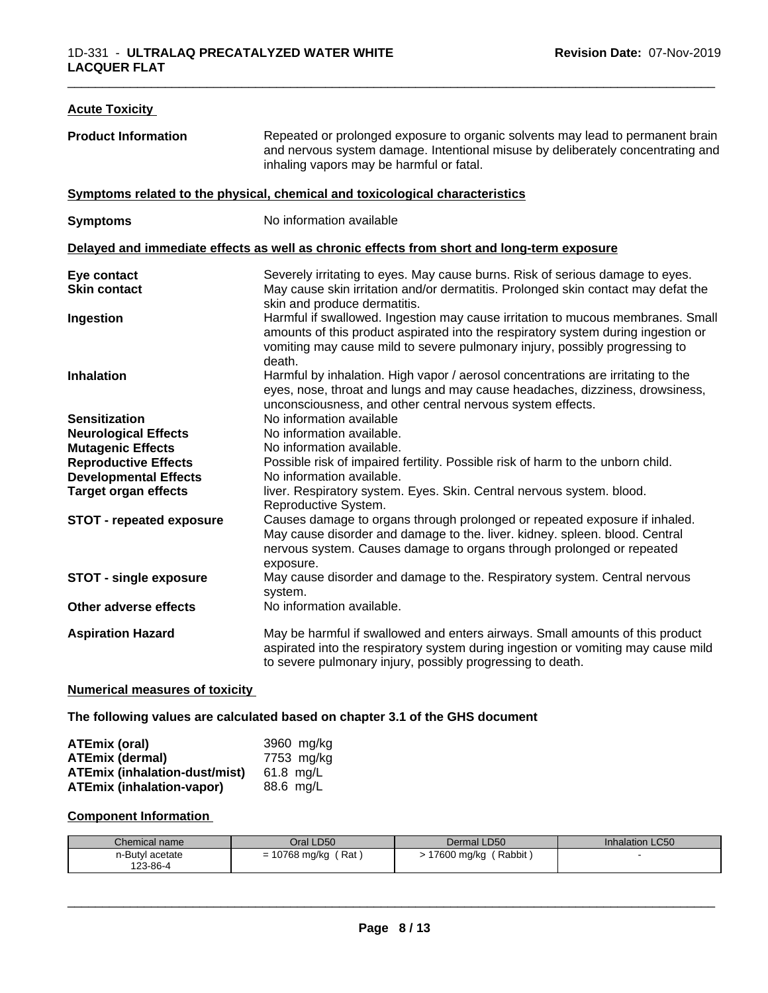| <b>Acute Toxicity</b>           |                                                                                                                                                                                                                                                               |  |
|---------------------------------|---------------------------------------------------------------------------------------------------------------------------------------------------------------------------------------------------------------------------------------------------------------|--|
| <b>Product Information</b>      | Repeated or prolonged exposure to organic solvents may lead to permanent brain<br>and nervous system damage. Intentional misuse by deliberately concentrating and<br>inhaling vapors may be harmful or fatal.                                                 |  |
|                                 | Symptoms related to the physical, chemical and toxicological characteristics                                                                                                                                                                                  |  |
| <b>Symptoms</b>                 | No information available                                                                                                                                                                                                                                      |  |
|                                 | Delayed and immediate effects as well as chronic effects from short and long-term exposure                                                                                                                                                                    |  |
| Eye contact                     | Severely irritating to eyes. May cause burns. Risk of serious damage to eyes.                                                                                                                                                                                 |  |
| <b>Skin contact</b>             | May cause skin irritation and/or dermatitis. Prolonged skin contact may defat the<br>skin and produce dermatitis.                                                                                                                                             |  |
| Ingestion                       | Harmful if swallowed. Ingestion may cause irritation to mucous membranes. Small<br>amounts of this product aspirated into the respiratory system during ingestion or<br>vomiting may cause mild to severe pulmonary injury, possibly progressing to<br>death. |  |
| <b>Inhalation</b>               | Harmful by inhalation. High vapor / aerosol concentrations are irritating to the<br>eyes, nose, throat and lungs and may cause headaches, dizziness, drowsiness,<br>unconsciousness, and other central nervous system effects.                                |  |
| <b>Sensitization</b>            | No information available                                                                                                                                                                                                                                      |  |
| <b>Neurological Effects</b>     | No information available.                                                                                                                                                                                                                                     |  |
| <b>Mutagenic Effects</b>        | No information available.                                                                                                                                                                                                                                     |  |
| <b>Reproductive Effects</b>     | Possible risk of impaired fertility. Possible risk of harm to the unborn child.                                                                                                                                                                               |  |
| <b>Developmental Effects</b>    | No information available.                                                                                                                                                                                                                                     |  |
| <b>Target organ effects</b>     | liver. Respiratory system. Eyes. Skin. Central nervous system. blood.<br>Reproductive System.                                                                                                                                                                 |  |
| <b>STOT - repeated exposure</b> | Causes damage to organs through prolonged or repeated exposure if inhaled.<br>May cause disorder and damage to the. liver. kidney. spleen. blood. Central<br>nervous system. Causes damage to organs through prolonged or repeated<br>exposure.               |  |
| <b>STOT - single exposure</b>   | May cause disorder and damage to the. Respiratory system. Central nervous<br>system.                                                                                                                                                                          |  |
| Other adverse effects           | No information available.                                                                                                                                                                                                                                     |  |
| <b>Aspiration Hazard</b>        | May be harmful if swallowed and enters airways. Small amounts of this product<br>aspirated into the respiratory system during ingestion or vomiting may cause mild<br>to severe pulmonary injury, possibly progressing to death.                              |  |
|                                 |                                                                                                                                                                                                                                                               |  |

### **Numerical measures of toxicity**

#### **The following values are calculated based on chapter 3.1 of the GHS document**

| ATEmix (oral)                        | 3960 mg/kg |
|--------------------------------------|------------|
| <b>ATEmix (dermal)</b>               | 7753 mg/kg |
| <b>ATEmix (inhalation-dust/mist)</b> | 61.8 ma/L  |
| <b>ATEmix (inhalation-vapor)</b>     | 88.6 mg/L  |

### **Component Information**

| Chemical name   | Oral LD50                       | Dermal LD50             | <b>Inhalation LC50</b> |
|-----------------|---------------------------------|-------------------------|------------------------|
| n-Butyl acetate | Rat <sup>1</sup><br>10768 mg/kg | ' Rabbit<br>'7600 mg/kg |                        |
| 123-86-4        |                                 |                         |                        |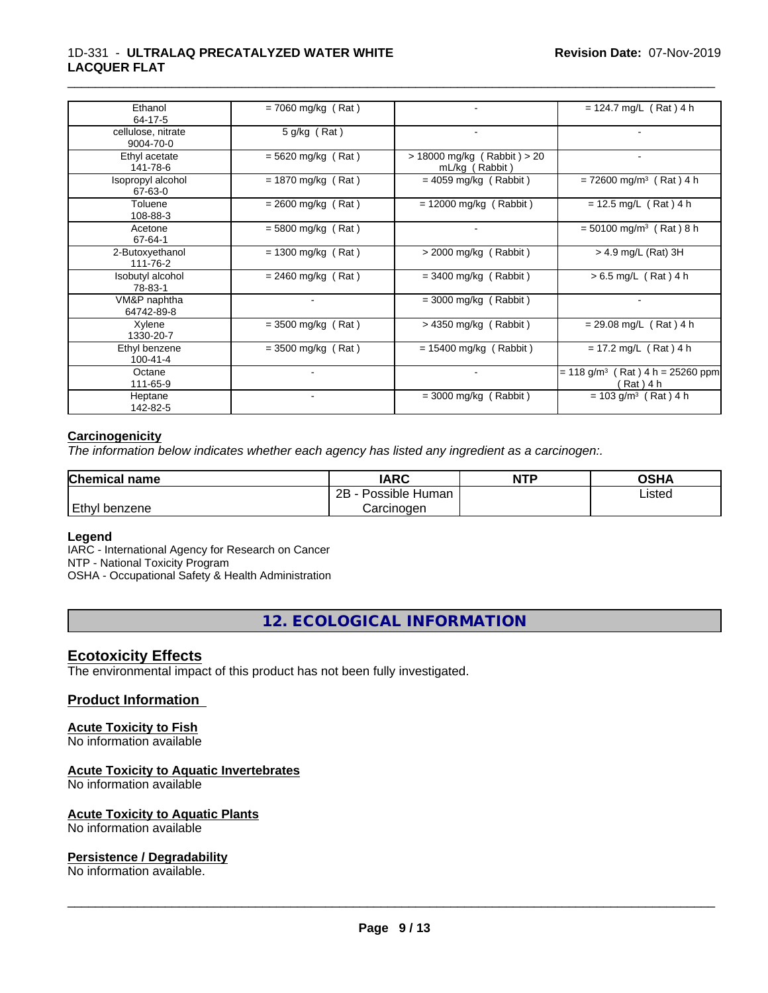#### 1D-331 - **ULTRALAQ PRECATALYZED WATER WHITE LACQUER FLAT**

| Ethanol<br>64-17-5              | $= 7060$ mg/kg (Rat) |                                               | $= 124.7$ mg/L (Rat) 4 h                                         |
|---------------------------------|----------------------|-----------------------------------------------|------------------------------------------------------------------|
| cellulose, nitrate<br>9004-70-0 | 5 g/kg (Rat)         | $\overline{\phantom{a}}$                      |                                                                  |
| Ethyl acetate<br>141-78-6       | $= 5620$ mg/kg (Rat) | > 18000 mg/kg (Rabbit) > 20<br>mL/kg (Rabbit) |                                                                  |
| Isopropyl alcohol<br>67-63-0    | $= 1870$ mg/kg (Rat) | $= 4059$ mg/kg (Rabbit)                       | $= 72600$ mg/m <sup>3</sup> (Rat) 4 h                            |
| Toluene<br>108-88-3             | $= 2600$ mg/kg (Rat) | $= 12000$ mg/kg (Rabbit)                      | $= 12.5$ mg/L (Rat) 4 h                                          |
| Acetone<br>67-64-1              | $= 5800$ mg/kg (Rat) |                                               | $= 50100$ mg/m <sup>3</sup> (Rat) 8 h                            |
| 2-Butoxyethanol<br>111-76-2     | $= 1300$ mg/kg (Rat) | $>$ 2000 mg/kg (Rabbit)                       | $>$ 4.9 mg/L (Rat) 3H                                            |
| Isobutyl alcohol<br>78-83-1     | $= 2460$ mg/kg (Rat) | $=$ 3400 mg/kg (Rabbit)                       | $> 6.5$ mg/L (Rat) 4 h                                           |
| VM&P naphtha<br>64742-89-8      |                      | $=$ 3000 mg/kg (Rabbit)                       |                                                                  |
| Xylene<br>1330-20-7             | $=$ 3500 mg/kg (Rat) | $>$ 4350 mg/kg (Rabbit)                       | $= 29.08$ mg/L (Rat) 4 h                                         |
| Ethyl benzene<br>$100 - 41 - 4$ | $=$ 3500 mg/kg (Rat) | $= 15400$ mg/kg (Rabbit)                      | $= 17.2$ mg/L (Rat) 4 h                                          |
| Octane<br>111-65-9              |                      |                                               | $(Rat)$ 4 h = 25260 ppm<br>$= 118$ g/m <sup>3</sup><br>(Rat) 4 h |
| Heptane<br>142-82-5             | $\sim$               | $=$ 3000 mg/kg (Rabbit)                       | $= 103$ g/m <sup>3</sup> (Rat) 4 h                               |

\_\_\_\_\_\_\_\_\_\_\_\_\_\_\_\_\_\_\_\_\_\_\_\_\_\_\_\_\_\_\_\_\_\_\_\_\_\_\_\_\_\_\_\_\_\_\_\_\_\_\_\_\_\_\_\_\_\_\_\_\_\_\_\_\_\_\_\_\_\_\_\_\_\_\_\_\_\_\_\_\_\_\_\_\_\_\_\_\_\_\_\_\_

#### **Carcinogenicity**

*The information below indicateswhether each agency has listed any ingredient as a carcinogen:.*

| <b>Chemical name</b> | <b>IARC</b>          | <b>NTP</b> | <b>OSHA</b> |
|----------------------|----------------------|------------|-------------|
|                      | Possible Human<br>2B |            | Listed      |
| Ethyl benzene        | Carcinoɑen           |            |             |

#### **Legend**

IARC - International Agency for Research on Cancer NTP - National Toxicity Program OSHA - Occupational Safety & Health Administration

**12. ECOLOGICAL INFORMATION**

### **Ecotoxicity Effects**

The environmental impact of this product has not been fully investigated.

#### **Product Information**

### **Acute Toxicity to Fish**

No information available

#### **Acute Toxicity to Aquatic Invertebrates**

No information available

#### **Acute Toxicity to Aquatic Plants**

No information available

#### **Persistence / Degradability**

No information available.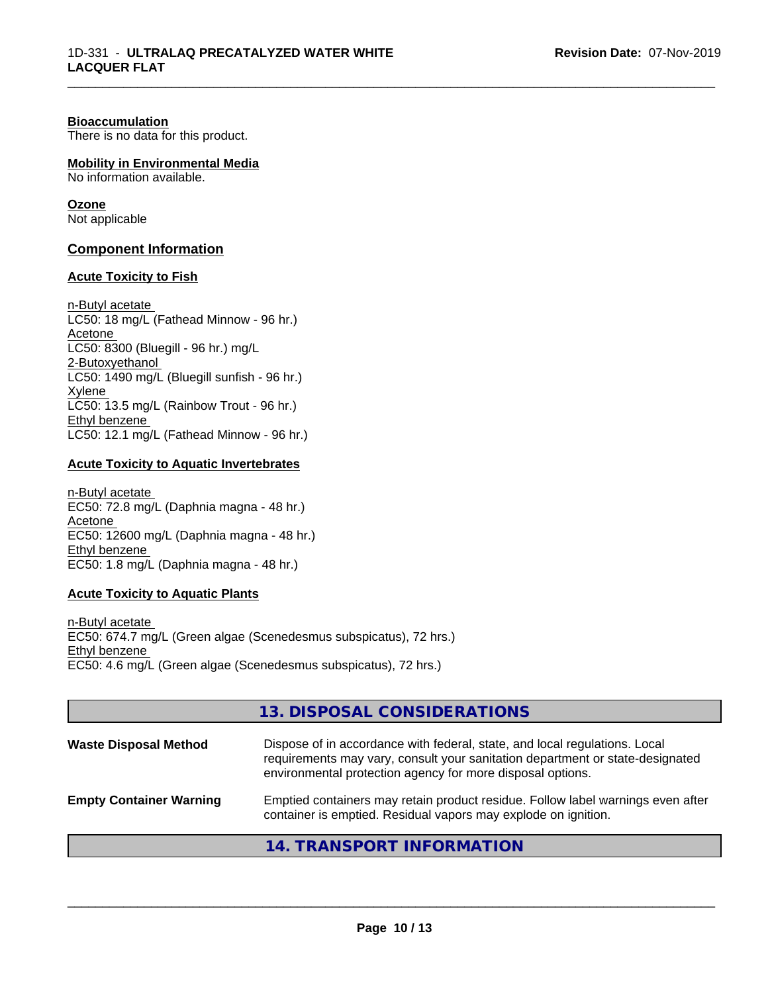#### **Bioaccumulation**

There is no data for this product.

### **Mobility in Environmental Media**

No information available.

#### **Ozone**

Not applicable

#### **Component Information**

#### **Acute Toxicity to Fish**

n-Butyl acetate LC50: 18 mg/L (Fathead Minnow - 96 hr.) Acetone LC50: 8300 (Bluegill - 96 hr.) mg/L 2-Butoxyethanol LC50: 1490 mg/L (Bluegill sunfish - 96 hr.) Xylene LC50: 13.5 mg/L (Rainbow Trout - 96 hr.) Ethyl benzene LC50: 12.1 mg/L (Fathead Minnow - 96 hr.)

#### **Acute Toxicity to Aquatic Invertebrates**

n-Butyl acetate EC50: 72.8 mg/L (Daphnia magna - 48 hr.) Acetone EC50: 12600 mg/L (Daphnia magna - 48 hr.) Ethyl benzene EC50: 1.8 mg/L (Daphnia magna - 48 hr.)

#### **Acute Toxicity to Aquatic Plants**

n-Butyl acetate EC50: 674.7 mg/L (Green algae (Scenedesmus subspicatus), 72 hrs.) Ethyl benzene EC50: 4.6 mg/L (Green algae (Scenedesmus subspicatus), 72 hrs.)

#### **13. DISPOSAL CONSIDERATIONS**

| <b>Waste Disposal Method</b>   | Dispose of in accordance with federal, state, and local regulations. Local<br>requirements may vary, consult your sanitation department or state-designated<br>environmental protection agency for more disposal options. |  |
|--------------------------------|---------------------------------------------------------------------------------------------------------------------------------------------------------------------------------------------------------------------------|--|
| <b>Empty Container Warning</b> | Emptied containers may retain product residue. Follow label warnings even after<br>container is emptied. Residual vapors may explode on ignition.                                                                         |  |
|                                | 14. TRANSPORT INFORMATION                                                                                                                                                                                                 |  |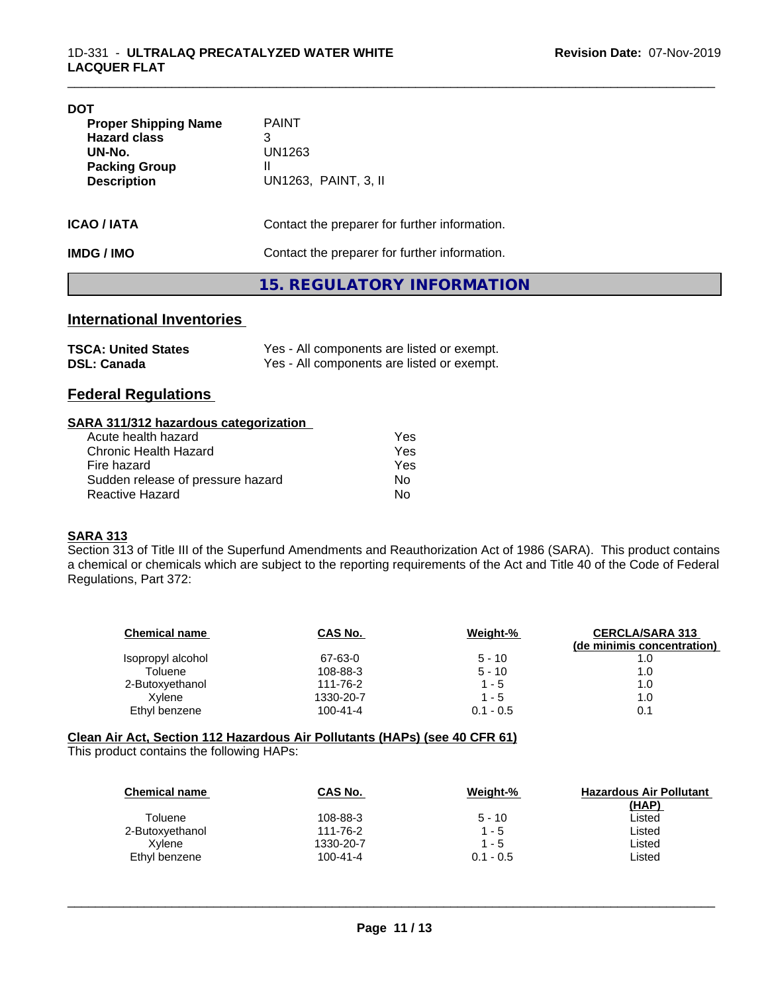| <b>DOT</b>                                                                                                 |                                                          |  |
|------------------------------------------------------------------------------------------------------------|----------------------------------------------------------|--|
| <b>Proper Shipping Name</b><br><b>Hazard class</b><br>UN-No.<br><b>Packing Group</b><br><b>Description</b> | <b>PAINT</b><br>3<br>UN1263<br>Ш<br>UN1263, PAINT, 3, II |  |
| <b>ICAO/IATA</b>                                                                                           | Contact the preparer for further information.            |  |
| <b>IMDG / IMO</b>                                                                                          | Contact the preparer for further information.            |  |
|                                                                                                            | 15. REGULATORY INFORMATION                               |  |

### **International Inventories**

| <b>TSCA: United States</b> | Yes - All components are listed or exempt. |
|----------------------------|--------------------------------------------|
| <b>DSL: Canada</b>         | Yes - All components are listed or exempt. |

#### **Federal Regulations**

#### **SARA 311/312 hazardous categorization**

| Acute health hazard               | Yes |
|-----------------------------------|-----|
| Chronic Health Hazard             | Yes |
| Fire hazard                       | Yes |
| Sudden release of pressure hazard | Nο  |
| Reactive Hazard                   | N٥  |

#### **SARA 313**

Section 313 of Title III of the Superfund Amendments and Reauthorization Act of 1986 (SARA). This product contains a chemical or chemicals which are subject to the reporting requirements of the Act and Title 40 of the Code of Federal Regulations, Part 372:

| <b>Chemical name</b> | CAS No.   | Weight-%    | <b>CERCLA/SARA 313</b><br>(de minimis concentration) |
|----------------------|-----------|-------------|------------------------------------------------------|
| Isopropyl alcohol    | 67-63-0   | $5 - 10$    | 1.0                                                  |
| Toluene              | 108-88-3  | $5 - 10$    | 1.0                                                  |
| 2-Butoxyethanol      | 111-76-2  | $1 - 5$     | 1.0                                                  |
| Xvlene               | 1330-20-7 | $1 - 5$     | 1.0                                                  |
| Ethyl benzene        | 100-41-4  | $0.1 - 0.5$ | 0.1                                                  |

### **Clean Air Act,Section 112 Hazardous Air Pollutants (HAPs) (see 40 CFR 61)**

This product contains the following HAPs:

| <b>Chemical name</b> | CAS No.        | Weight-%    | <b>Hazardous Air Pollutant</b> |
|----------------------|----------------|-------------|--------------------------------|
| Toluene              | 108-88-3       | $5 - 10$    | (HAP)<br>Listed                |
| 2-Butoxyethanol      | 111-76-2       | $1 - 5$     | Listed                         |
| Xvlene               | 1330-20-7      | $1 - 5$     | Listed                         |
| Ethyl benzene        | $100 - 41 - 4$ | $0.1 - 0.5$ | ∟isted                         |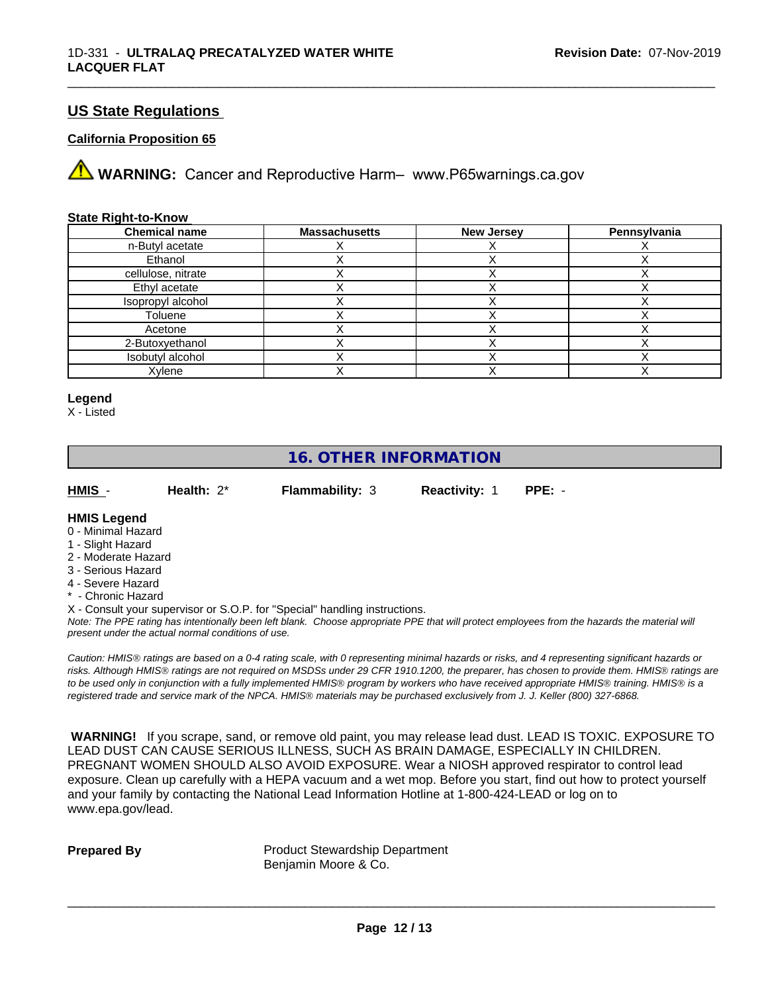#### **US State Regulations**

#### **California Proposition 65**

**AVIMARNING:** Cancer and Reproductive Harm– www.P65warnings.ca.gov

#### **State Right-to-Know**

| <b>Chemical name</b> | <b>Massachusetts</b> | <b>New Jersey</b> | Pennsylvania |
|----------------------|----------------------|-------------------|--------------|
| n-Butyl acetate      |                      |                   |              |
| Ethanol              |                      |                   |              |
| cellulose, nitrate   |                      |                   |              |
| Ethyl acetate        |                      |                   |              |
| Isopropyl alcohol    |                      |                   |              |
| Toluene              |                      |                   |              |
| Acetone              |                      |                   |              |
| 2-Butoxyethanol      |                      |                   |              |
| Isobutyl alcohol     |                      |                   |              |
| Xylene               |                      |                   |              |

\_\_\_\_\_\_\_\_\_\_\_\_\_\_\_\_\_\_\_\_\_\_\_\_\_\_\_\_\_\_\_\_\_\_\_\_\_\_\_\_\_\_\_\_\_\_\_\_\_\_\_\_\_\_\_\_\_\_\_\_\_\_\_\_\_\_\_\_\_\_\_\_\_\_\_\_\_\_\_\_\_\_\_\_\_\_\_\_\_\_\_\_\_

#### **Legend**

X - Listed

### **16. OTHER INFORMATION**

**HMIS** - **Health:** 2\* **Flammability:** 3 **Reactivity:** 1 **PPE:** -

#### **HMIS Legend**

- 0 Minimal Hazard
- 1 Slight Hazard
- 2 Moderate Hazard
- 3 Serious Hazard
- 4 Severe Hazard
- Chronic Hazard

X - Consult your supervisor or S.O.P. for "Special" handling instructions.

*Note: The PPE rating has intentionally been left blank. Choose appropriate PPE that will protect employees from the hazards the material will present under the actual normal conditions of use.*

*Caution: HMISÒ ratings are based on a 0-4 rating scale, with 0 representing minimal hazards or risks, and 4 representing significant hazards or risks. Although HMISÒ ratings are not required on MSDSs under 29 CFR 1910.1200, the preparer, has chosen to provide them. HMISÒ ratings are to be used only in conjunction with a fully implemented HMISÒ program by workers who have received appropriate HMISÒ training. HMISÒ is a registered trade and service mark of the NPCA. HMISÒ materials may be purchased exclusively from J. J. Keller (800) 327-6868.*

 **WARNING!** If you scrape, sand, or remove old paint, you may release lead dust. LEAD IS TOXIC. EXPOSURE TO LEAD DUST CAN CAUSE SERIOUS ILLNESS, SUCH AS BRAIN DAMAGE, ESPECIALLY IN CHILDREN. PREGNANT WOMEN SHOULD ALSO AVOID EXPOSURE. Wear a NIOSH approved respirator to control lead exposure. Clean up carefully with a HEPA vacuum and a wet mop. Before you start, find out how to protect yourself and your family by contacting the National Lead Information Hotline at 1-800-424-LEAD or log on to www.epa.gov/lead.

**Prepared By** Product Stewardship Department Benjamin Moore & Co.